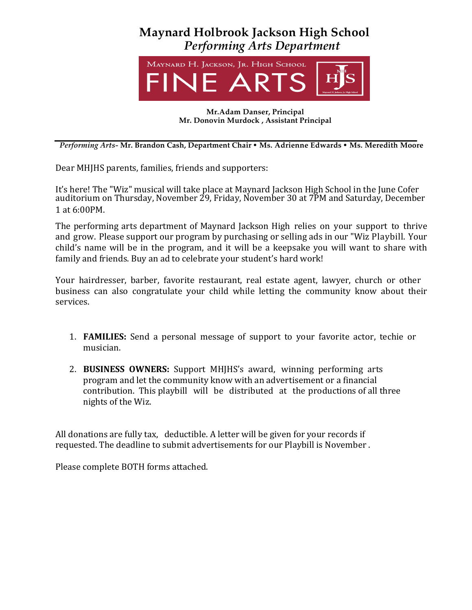



### **Mr.Adam Danser, Principal Mr. Donovin Murdock , Assistant Principal**

*Performing Arts-* **Mr. Brandon Cash, Department Chair** • **Ms. Adrienne Edwards** • **Ms. Meredith Moore**

Dear MHJHS parents, families, friends and supporters:

It's here! The "Wiz" musical will take place at Maynard Jackson High School in the June Cofer auditorium on Thursday, November 29, Friday, November 30 at 7PM and Saturday, December 1 at 6:00PM.

The performing arts department of Maynard Jackson High relies on your support to thrive and grow. Please support our program by purchasing or selling ads in our "Wiz Playbill. Your child's name will be in the program, and it will be a keepsake you will want to share with family and friends. Buy an ad to celebrate your student's hard work!

Your hairdresser, barber, favorite restaurant, real estate agent, lawyer, church or other business can also congratulate your child while letting the community know about their services. 

- 1. **FAMILIES:** Send a personal message of support to your favorite actor, techie or musician.
- 2. **BUSINESS OWNERS:** Support MHIHS's award, winning performing arts program and let the community know with an advertisement or a financial contribution. This playbill will be distributed at the productions of all three nights of the Wiz.

All donations are fully tax, deductible. A letter will be given for your records if requested. The deadline to submit advertisements for our Playbill is November.

Please complete BOTH forms attached.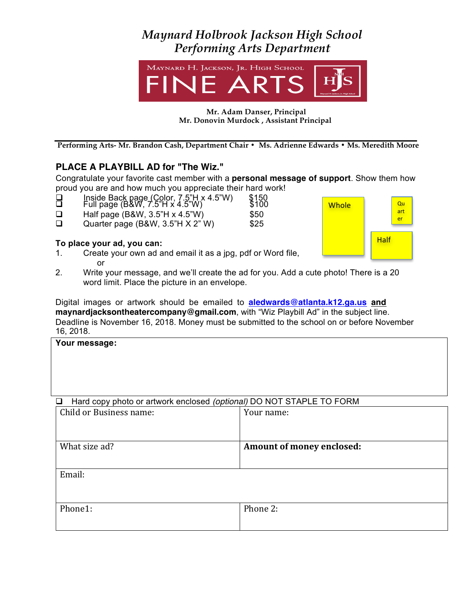# *Maynard Holbrook Jackson High School Performing Arts Department*



#### **Mr. Adam Danser, Principal Mr. Donovin Murdock, Assistant Principal**

**Performing Arts- Mr. Brandon Cash, Department Chair • Ms. Adrienne Edwards • Ms. Meredith Moore**

## **PLACE A PLAYBILL AD for "The Wiz."**

Congratulate your favorite cast member with a **personal message of support**. Show them how proud you are and how much you appreciate their hard work!

- $\Box$  Inside Back page (Color, 7.5"H x 4.5"W)  $$150$
- $\overline{\Box}$  Full page (B&W, 7.5"H x 4.5"W)  $\overline{\phantom{a}}$  \$100
- $\Box$  Half page (B&W, 3.5"H x 4.5"W)  $$50$
- $\Box$  Quarter page (B&W, 3.5"H X 2" W)  $$25$

### **To place your ad, you can:**

- 1. Create your own ad and email it as a jpg, pdf or Word file, or
- **Whole Half** Qu art er
- 2. Write your message, and we'll create the ad for you. Add a cute photo! There is a 20 word limit. Place the picture in an envelope.

Digital images or artwork should be emailed to **aledwards@atlanta.k12.ga.us and maynardjacksontheatercompany@gmail.com**, with "Wiz Playbill Ad" in the subject line. Deadline is November 16, 2018. Money must be submitted to the school on or before November 16, 2018.

| Your message:                                                                  |                           |
|--------------------------------------------------------------------------------|---------------------------|
|                                                                                |                           |
|                                                                                |                           |
| Hard copy photo or artwork enclosed (optional) DO NOT STAPLE TO FORM<br>$\Box$ |                           |
| Child or Business name:                                                        | Your name:                |
|                                                                                |                           |
| What size ad?                                                                  | Amount of money enclosed: |
|                                                                                |                           |

Email:

| Phone1: | Phone 2: |  |
|---------|----------|--|
|         |          |  |